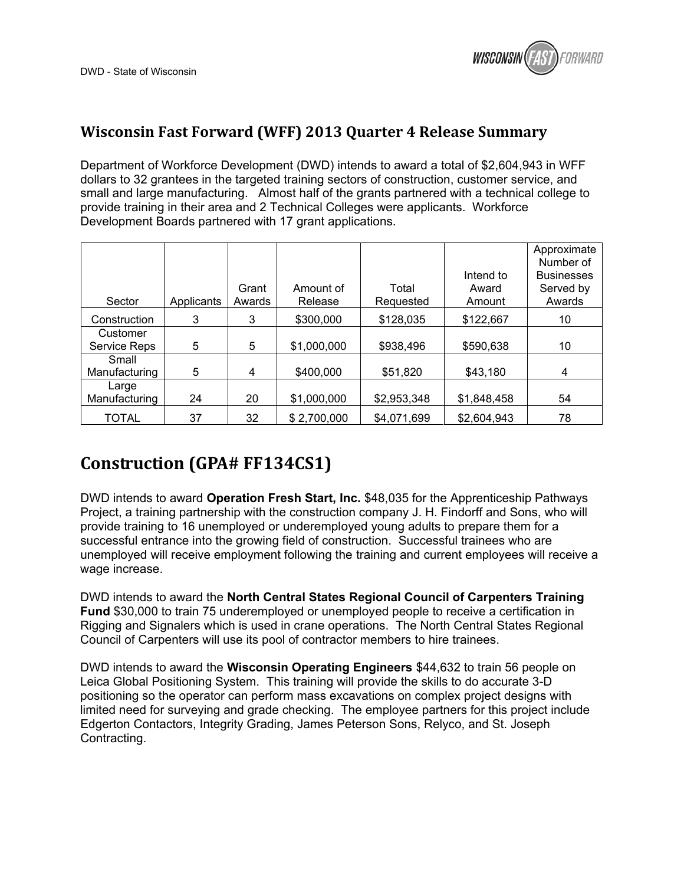

#### **Wisconsin Fast Forward (WFF) 2013 Quarter 4 Release Summary**

Department of Workforce Development (DWD) intends to award a total of \$2,604,943 in WFF dollars to 32 grantees in the targeted training sectors of construction, customer service, and small and large manufacturing. Almost half of the grants partnered with a technical college to provide training in their area and 2 Technical Colleges were applicants. Workforce Development Boards partnered with 17 grant applications.

|               |            |        |             |             |             | Approximate       |
|---------------|------------|--------|-------------|-------------|-------------|-------------------|
|               |            |        |             |             |             | Number of         |
|               |            |        |             |             | Intend to   | <b>Businesses</b> |
|               |            | Grant  | Amount of   | Total       | Award       | Served by         |
| Sector        | Applicants | Awards | Release     | Requested   | Amount      | Awards            |
| Construction  | 3          | 3      | \$300,000   | \$128,035   | \$122,667   | 10                |
| Customer      |            |        |             |             |             |                   |
| Service Reps  | 5          | 5      | \$1,000,000 | \$938,496   | \$590,638   | 10                |
| Small         |            |        |             |             |             |                   |
| Manufacturing | 5          | 4      | \$400,000   | \$51,820    | \$43,180    | 4                 |
| Large         |            |        |             |             |             |                   |
| Manufacturing | 24         | 20     | \$1,000,000 | \$2,953,348 | \$1,848,458 | 54                |
| <b>TOTAL</b>  | 37         | 32     | \$2,700,000 | \$4,071,699 | \$2,604,943 | 78                |

#### **Construction (GPA# FF134CS1)**

DWD intends to award **Operation Fresh Start, Inc.** \$48,035 for the Apprenticeship Pathways Project, a training partnership with the construction company J. H. Findorff and Sons, who will provide training to 16 unemployed or underemployed young adults to prepare them for a successful entrance into the growing field of construction. Successful trainees who are unemployed will receive employment following the training and current employees will receive a wage increase.

DWD intends to award the **North Central States Regional Council of Carpenters Training Fund** \$30,000 to train 75 underemployed or unemployed people to receive a certification in Rigging and Signalers which is used in crane operations. The North Central States Regional Council of Carpenters will use its pool of contractor members to hire trainees.

DWD intends to award the **Wisconsin Operating Engineers** \$44,632 to train 56 people on Leica Global Positioning System. This training will provide the skills to do accurate 3-D positioning so the operator can perform mass excavations on complex project designs with limited need for surveying and grade checking. The employee partners for this project include Edgerton Contactors, Integrity Grading, James Peterson Sons, Relyco, and St. Joseph Contracting.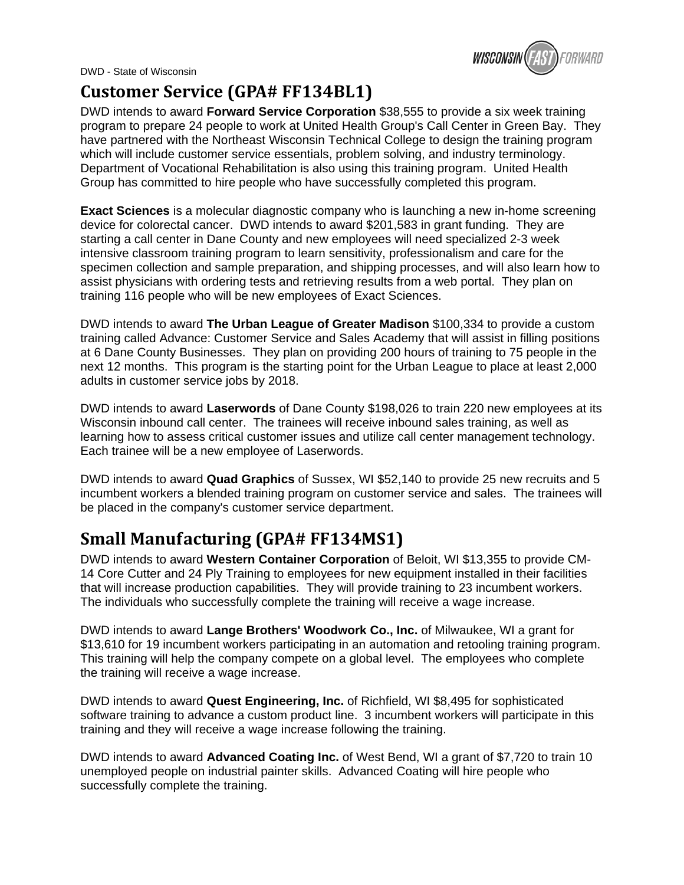DWD - State of Wisconsin



### **Customer Service (GPA# FF134BL1)**

DWD intends to award **Forward Service Corporation** \$38,555 to provide a six week training program to prepare 24 people to work at United Health Group's Call Center in Green Bay. They have partnered with the Northeast Wisconsin Technical College to design the training program which will include customer service essentials, problem solving, and industry terminology. Department of Vocational Rehabilitation is also using this training program. United Health Group has committed to hire people who have successfully completed this program.

**Exact Sciences** is a molecular diagnostic company who is launching a new in-home screening device for colorectal cancer. DWD intends to award \$201,583 in grant funding. They are starting a call center in Dane County and new employees will need specialized 2-3 week intensive classroom training program to learn sensitivity, professionalism and care for the specimen collection and sample preparation, and shipping processes, and will also learn how to assist physicians with ordering tests and retrieving results from a web portal. They plan on training 116 people who will be new employees of Exact Sciences.

DWD intends to award **The Urban League of Greater Madison** \$100,334 to provide a custom training called Advance: Customer Service and Sales Academy that will assist in filling positions at 6 Dane County Businesses. They plan on providing 200 hours of training to 75 people in the next 12 months. This program is the starting point for the Urban League to place at least 2,000 adults in customer service jobs by 2018.

DWD intends to award **Laserwords** of Dane County \$198,026 to train 220 new employees at its Wisconsin inbound call center. The trainees will receive inbound sales training, as well as learning how to assess critical customer issues and utilize call center management technology. Each trainee will be a new employee of Laserwords.

DWD intends to award **Quad Graphics** of Sussex, WI \$52,140 to provide 25 new recruits and 5 incumbent workers a blended training program on customer service and sales. The trainees will be placed in the company's customer service department.

# **Small Manufacturing (GPA# FF134MS1)**

DWD intends to award **Western Container Corporation** of Beloit, WI \$13,355 to provide CM-14 Core Cutter and 24 Ply Training to employees for new equipment installed in their facilities that will increase production capabilities. They will provide training to 23 incumbent workers. The individuals who successfully complete the training will receive a wage increase.

DWD intends to award **Lange Brothers' Woodwork Co., Inc.** of Milwaukee, WI a grant for \$13,610 for 19 incumbent workers participating in an automation and retooling training program. This training will help the company compete on a global level. The employees who complete the training will receive a wage increase.

DWD intends to award **Quest Engineering, Inc.** of Richfield, WI \$8,495 for sophisticated software training to advance a custom product line. 3 incumbent workers will participate in this training and they will receive a wage increase following the training.

DWD intends to award **Advanced Coating Inc.** of West Bend, WI a grant of \$7,720 to train 10 unemployed people on industrial painter skills. Advanced Coating will hire people who successfully complete the training.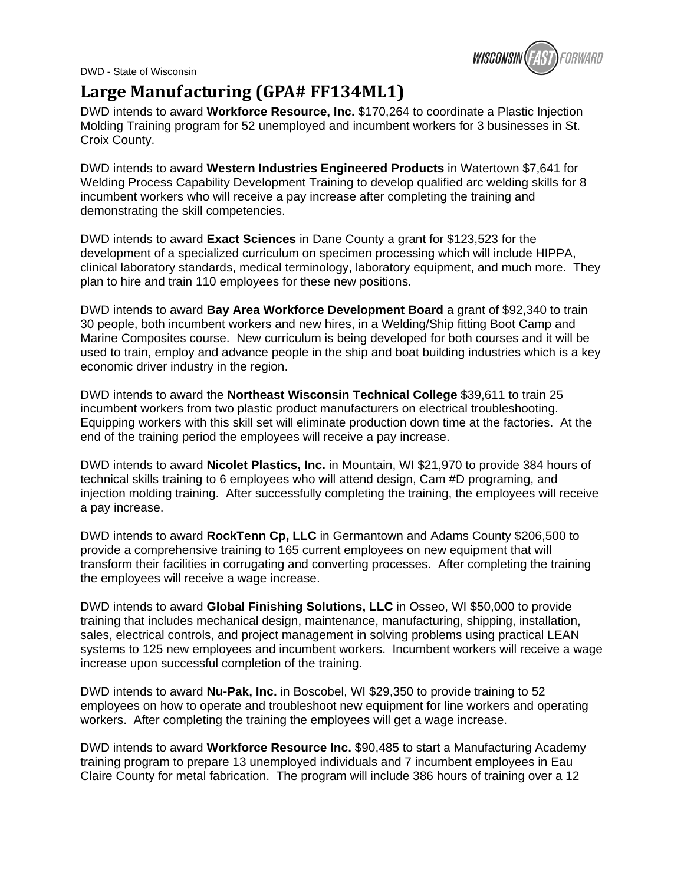DWD - State of Wisconsin



## **Large Manufacturing (GPA# FF134ML1)**

DWD intends to award **Workforce Resource, Inc.** \$170,264 to coordinate a Plastic Injection Molding Training program for 52 unemployed and incumbent workers for 3 businesses in St. Croix County.

DWD intends to award **Western Industries Engineered Products** in Watertown \$7,641 for Welding Process Capability Development Training to develop qualified arc welding skills for 8 incumbent workers who will receive a pay increase after completing the training and demonstrating the skill competencies.

DWD intends to award **Exact Sciences** in Dane County a grant for \$123,523 for the development of a specialized curriculum on specimen processing which will include HIPPA, clinical laboratory standards, medical terminology, laboratory equipment, and much more. They plan to hire and train 110 employees for these new positions.

DWD intends to award **Bay Area Workforce Development Board** a grant of \$92,340 to train 30 people, both incumbent workers and new hires, in a Welding/Ship fitting Boot Camp and Marine Composites course. New curriculum is being developed for both courses and it will be used to train, employ and advance people in the ship and boat building industries which is a key economic driver industry in the region.

DWD intends to award the **Northeast Wisconsin Technical College** \$39,611 to train 25 incumbent workers from two plastic product manufacturers on electrical troubleshooting. Equipping workers with this skill set will eliminate production down time at the factories. At the end of the training period the employees will receive a pay increase.

DWD intends to award **Nicolet Plastics, Inc.** in Mountain, WI \$21,970 to provide 384 hours of technical skills training to 6 employees who will attend design, Cam #D programing, and injection molding training. After successfully completing the training, the employees will receive a pay increase.

DWD intends to award **RockTenn Cp, LLC** in Germantown and Adams County \$206,500 to provide a comprehensive training to 165 current employees on new equipment that will transform their facilities in corrugating and converting processes. After completing the training the employees will receive a wage increase.

DWD intends to award **Global Finishing Solutions, LLC** in Osseo, WI \$50,000 to provide training that includes mechanical design, maintenance, manufacturing, shipping, installation, sales, electrical controls, and project management in solving problems using practical LEAN systems to 125 new employees and incumbent workers. Incumbent workers will receive a wage increase upon successful completion of the training.

DWD intends to award **Nu-Pak, Inc.** in Boscobel, WI \$29,350 to provide training to 52 employees on how to operate and troubleshoot new equipment for line workers and operating workers. After completing the training the employees will get a wage increase.

DWD intends to award **Workforce Resource Inc.** \$90,485 to start a Manufacturing Academy training program to prepare 13 unemployed individuals and 7 incumbent employees in Eau Claire County for metal fabrication. The program will include 386 hours of training over a 12